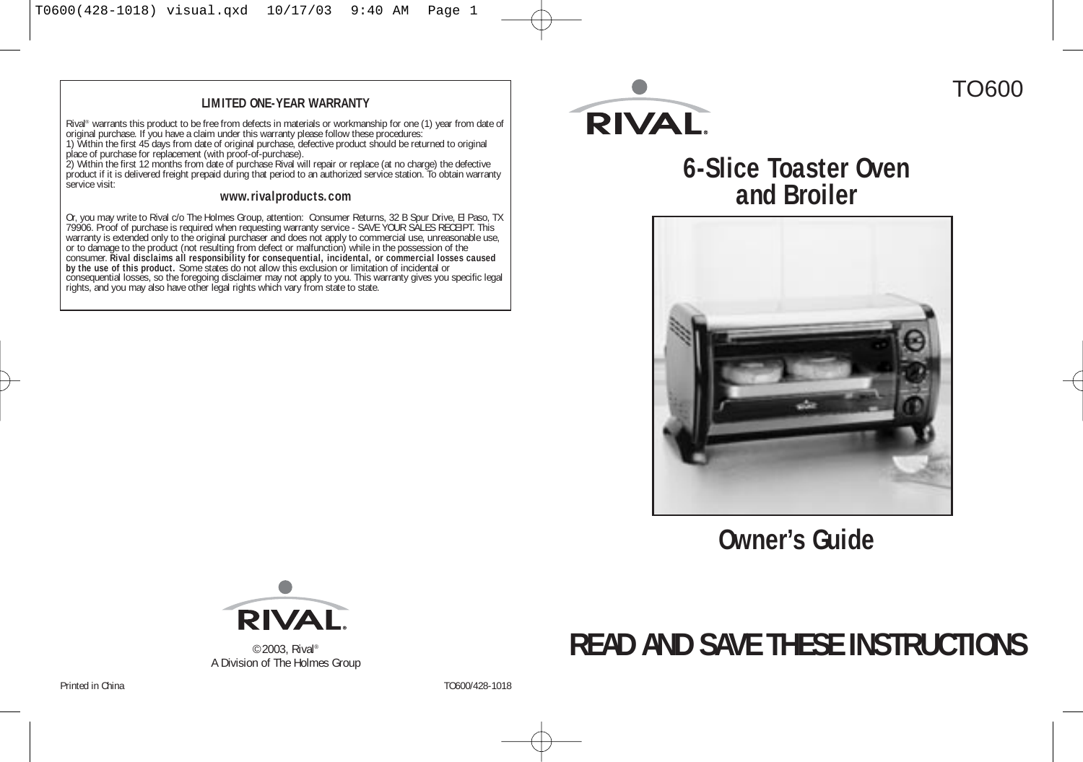#### **LIMITED ONE-YEAR WARRANTY**

Rival® warrants this product to be free from defects in materials or workmanship for one (1) year from date of original purchase. If you have a claim under this warranty please follow these procedures:

1) Within the first 45 days from date of original purchase, defective product should be returned to original place of purchase for replacement (with proof-of-purchase).

2) Within the first 12 months from date of purchase Rival will repair or replace (at no charge) the defective product if it is delivered freight prepaid during that period to an authorized service station. To obtain warranty service visit:

#### **www.rivalproducts.com**

Or, you may write to Rival c/o The Holmes Group, attention: Consumer Returns, 32 B Spur Drive, El Paso, TX 79906. Proof of purchase is required when requesting warranty service - SAVE YOUR SALES RECEIPT. This warranty is extended only to the original purchaser and does not apply to commercial use, unreasonable use, or to damage to the product (not resulting from defect or malfunction) while in the possession of the consumer. **Rival disclaims all responsibility for consequential, incidental, or commercial losses caused by the use of this product.** Some states do not allow this exclusion or limitation of incidental or consequential losses, so the foregoing disclaimer may not apply to you. This warranty gives you specific legal rights, and you may also have other legal rights which vary from state to state.



# **6-Slice Toaster Oven and Broiler**



**Owner's Guide**



©2003, Rival® A Division of The Holmes Group

# **READ AND SAVE THESE INSTRUCTIONS**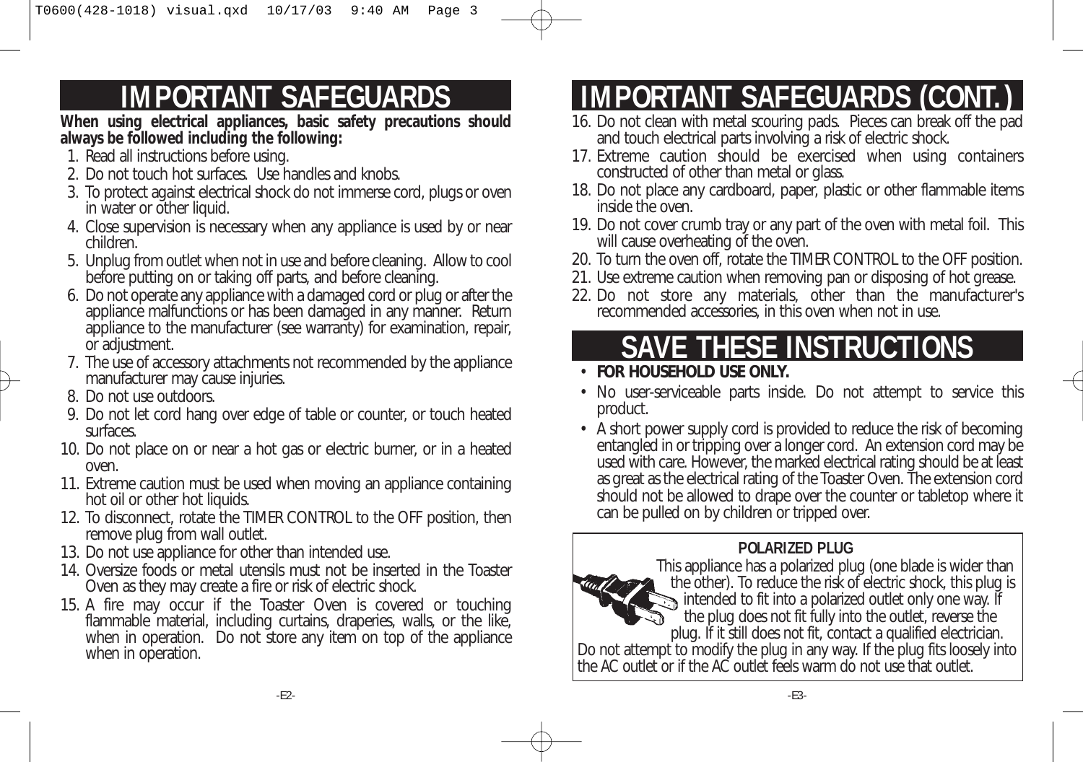# **IMPORTANT SAFEGUARDS**

**When using electrical appliances, basic safety precautions should always be followed including the following:**

- 1. Read all instructions before using.
- 2. Do not touch hot surfaces. Use handles and knobs.
- 3. To protect against electrical shock do not immerse cord, plugs or oven in water or other liquid.
- 4. Close supervision is necessary when any appliance is used by or near children.
- 5. Unplug from outlet when not in use and before cleaning. Allow to cool before putting on or taking off parts, and before cleaning.
- 6. Do not operate any appliance with a damaged cord or plug or after the appliance malfunctions or has been damaged in any manner. Return appliance to the manufacturer (see warranty) for examination, repair, or adjustment.
- 7. The use of accessory attachments not recommended by the appliance manufacturer may cause injuries.
- 8. Do not use outdoors.
- 9. Do not let cord hang over edge of table or counter, or touch heated surfaces.
- 10. Do not place on or near a hot gas or electric burner, or in a heated oven.
- 11. Extreme caution must be used when moving an appliance containing hot oil or other hot liquids.
- 12. To disconnect, rotate the TIMER CONTROL to the OFF position, then remove plug from wall outlet.
- 13. Do not use appliance for other than intended use.
- 14. Oversize foods or metal utensils must not be inserted in the Toaster Oven as they may create a fire or risk of electric shock.
- 15. A fire may occur if the Toaster Oven is covered or touching flammable material, including curtains, draperies, walls, or the like, when in operation. Do not store any item on top of the appliance when in operation.

# **IMPORTANT SAFEGUARDS (CON)**

- 16. Do not clean with metal scouring pads. Pieces can break off the pad and touch electrical parts involving a risk of electric shock.
- 17. Extreme caution should be exercised when using containers constructed of other than metal or glass.
- 18. Do not place any cardboard, paper, plastic or other flammable items inside the oven.
- 19. Do not cover crumb tray or any part of the oven with metal foil. This will cause overheating of the oven.
- 20. To turn the oven off, rotate the TIMER CONTROL to the OFF position.
- 21. Use extreme caution when removing pan or disposing of hot grease.
- 22. Do not store any materials, other than the manufacturer's recommended accessories, in this oven when not in use.

# **SAVE THESE INSTRUCTIONS**

- **FOR HOUSEHOLD USE ONLY.**
- No user-serviceable parts inside. Do not attempt to service this product.
- A short power supply cord is provided to reduce the risk of becoming entangled in or tripping over a longer cord. An extension cord may be used with care. However, the marked electrical rating should be at least as great as the electrical rating of the Toaster Oven. The extension cord should not be allowed to drape over the counter or tabletop where it can be pulled on by children or tripped over.

# **POLARIZED PLUG**



This appliance has a polarized plug (one blade is wider than the other). To reduce the risk of electric shock, this plug is intended to fit into a polarized outlet only one way. If the plug does not fit fully into the outlet, reverse the plug. If it still does not fit, contact a qualified electrician. Do not attempt to modify the plug in any way. If the plug fits loosely into the AC outlet or if the AC outlet feels warm do not use that outlet.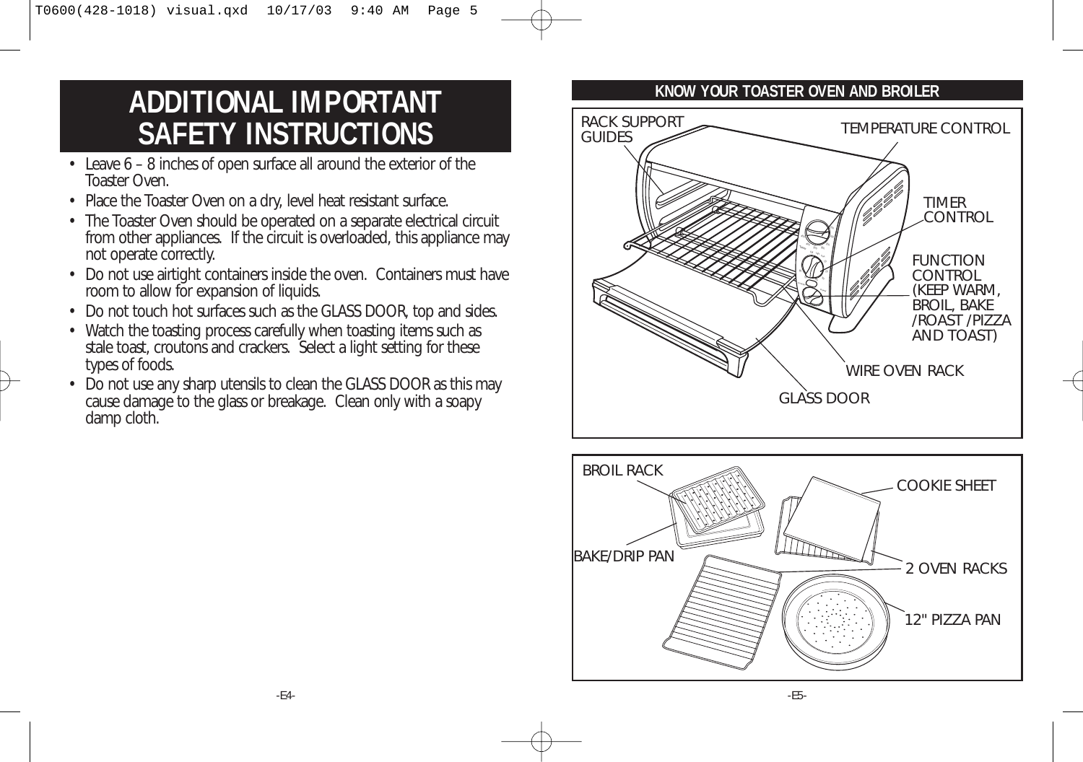# **ADDITIONAL IMPORTANT SAFETY INSTRUCTIONS**

- Leave 6 8 inches of open surface all around the exterior of the Toaster Oven.
- Place the Toaster Oven on a dry, level heat resistant surface.
- The Toaster Oven should be operated on a separate electrical circuit from other appliances. If the circuit is overloaded, this appliance may not operate correctly.
- Do not use airtight containers inside the oven. Containers must have room to allow for expansion of liquids.
- Do not touch hot surfaces such as the GLASS DOOR, top and sides.
- Watch the toasting process carefully when toasting items such as stale toast, croutons and crackers. Select a light setting for these types of foods.
- Do not use any sharp utensils to clean the GLASS DOOR as this may cause damage to the glass or breakage. Clean only with a soapy damp cloth.

#### **KNOW YOUR TOASTER OVEN AND BROILER**



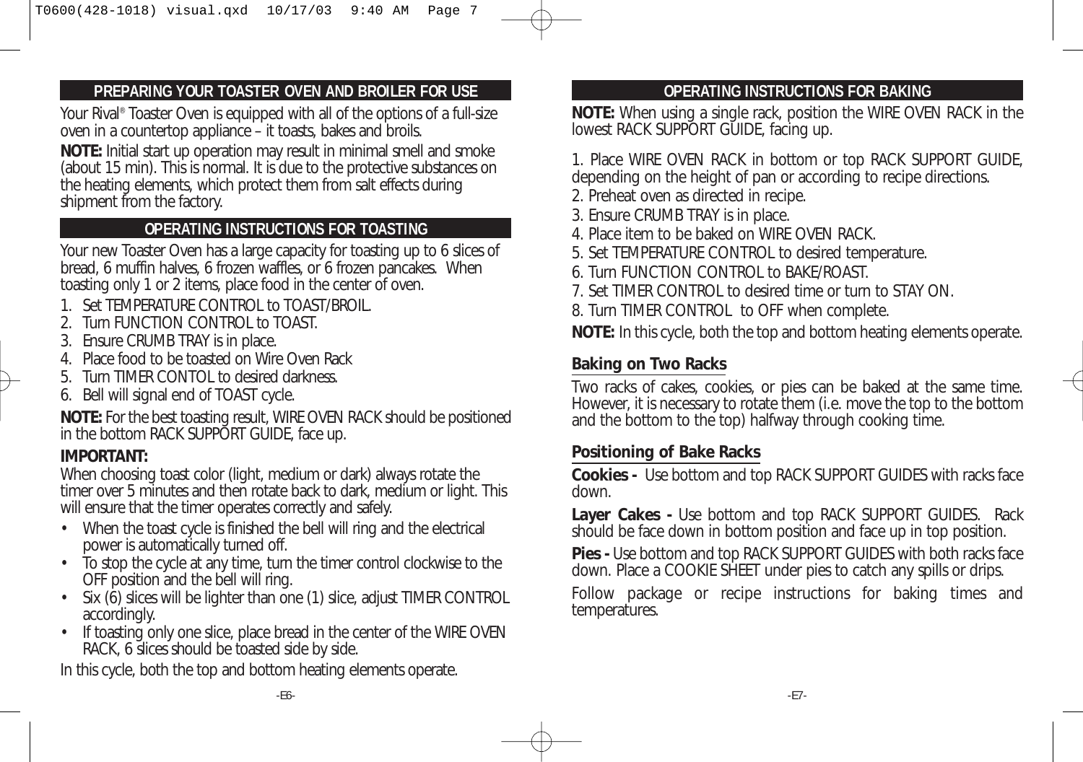#### **PREPARING YOUR TOASTER OVEN AND BROILER FOR USE**

Your Rival<sup>®</sup> Toaster Oven is equipped with all of the options of a full-size oven in a countertop appliance – it toasts, bakes and broils.

**NOTE:** Initial start up operation may result in minimal smell and smoke (about 15 min). This is normal. It is due to the protective substances on the heating elements, which protect them from salt effects during shipment from the factory.

### **OPERATING INSTRUCTIONS FOR TOASTING**

Your new Toaster Oven has a large capacity for toasting up to 6 slices of bread, 6 muffin halves, 6 frozen waffles, or 6 frozen pancakes. When toasting only 1 or 2 items, place food in the center of oven.

- 1. Set TEMPERATURE CONTROL to TOAST/BROIL.
- 2. Turn FUNCTION CONTROL to TOAST.
- 3. Ensure CRUMB TRAY is in place.
- 4. Place food to be toasted on Wire Oven Rack
- 5. Turn TIMER CONTOL to desired darkness.
- 6. Bell will signal end of TOAST cycle.

**NOTE:** For the best toasting result, WIRE OVEN RACK should be positioned in the bottom RACK SUPPORT GUIDE, face up.

#### **IMPORTANT:**

When choosing toast color (light, medium or dark) always rotate the timer over 5 minutes and then rotate back to dark, medium or light. This will ensure that the timer operates correctly and safely.

- When the toast cycle is finished the bell will ring and the electrical power is automatically turned off.
- To stop the cycle at any time, turn the timer control clockwise to the OFF position and the bell will ring.
- Six (6) slices will be lighter than one (1) slice, adjust TIMER CONTROL accordingly.
- If toasting only one slice, place bread in the center of the WIRE OVEN RACK, 6 slices should be toasted side by side.

In this cycle, both the top and bottom heating elements operate.

#### **OPERATING INSTRUCTIONS FOR BAKING**

**NOTE:** When using a single rack, position the WIRE OVEN RACK in the lowest RACK SUPPORT GUIDE, facing up.

1. Place WIRE OVEN RACK in bottom or top RACK SUPPORT GUIDE, depending on the height of pan or according to recipe directions.

- 2. Preheat oven as directed in recipe.
- 3. Ensure CRUMB TRAY is in place.
- 4. Place item to be baked on WIRE OVEN RACK.
- 5. Set TEMPERATURE CONTROL to desired temperature.
- 6. Turn FUNCTION CONTROL to BAKE/ROAST.
- 7. Set TIMER CONTROL to desired time or turn to STAY ON.
- 8. Turn TIMER CONTROL to OFF when complete.

**NOTE:** In this cycle, both the top and bottom heating elements operate.

### **Baking on Two Racks**

Two racks of cakes, cookies, or pies can be baked at the same time. However, it is necessary to rotate them (i.e. move the top to the bottom and the bottom to the top) halfway through cooking time.

### **Positioning of Bake Racks**

**Cookies -** Use bottom and top RACK SUPPORT GUIDES with racks face down.

**Layer Cakes -** Use bottom and top RACK SUPPORT GUIDES. Rack should be face down in bottom position and face up in top position.

**Pies -** Use bottom and top RACK SUPPORT GUIDES with both racks face down. Place a COOKIE SHEET under pies to catch any spills or drips.

Follow package or recipe instructions for baking times and temperatures.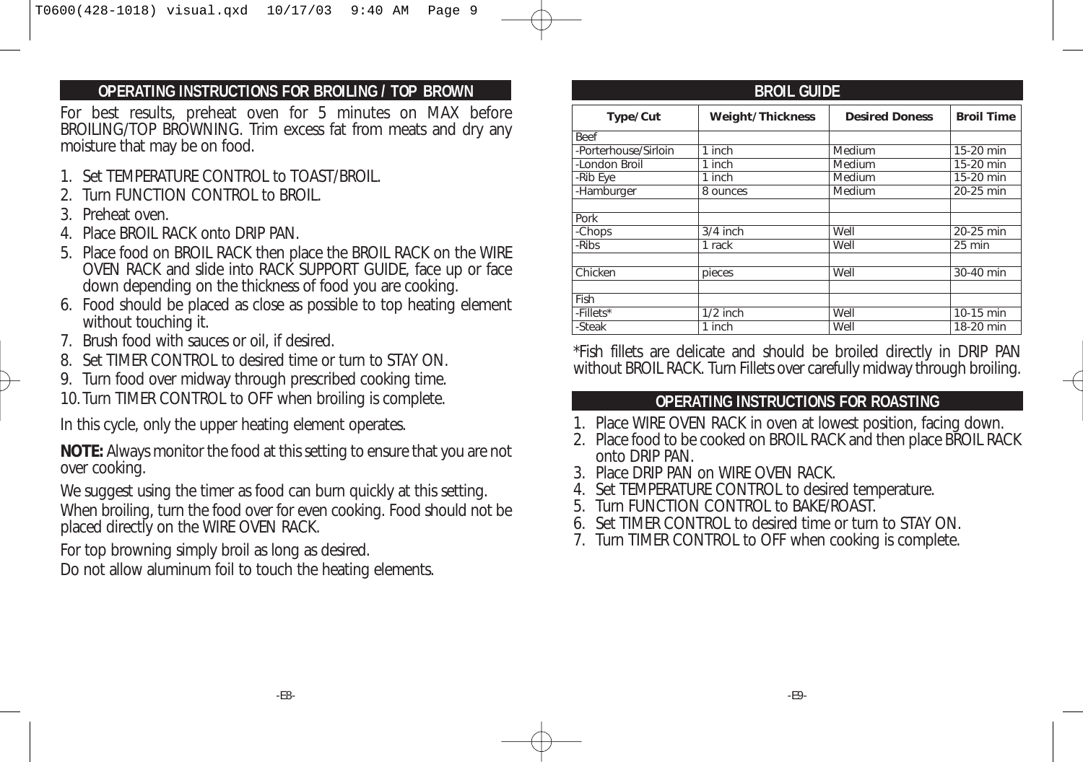#### **OPERATING INSTRUCTIONS FOR BROILING / TOP BROWN BROIL GUIDE**

For best results, preheat oven for 5 minutes on MAX before BROILING/TOP BROWNING. Trim excess fat from meats and dry any moisture that may be on food.

- 1. Set TEMPERATURE CONTROL to TOAST/BROIL.
- 2. Turn FUNCTION CONTROL to BROIL.
- 3. Preheat oven.
- 4. Place BROIL RACK onto DRIP PAN.
- 5. Place food on BROIL RACK then place the BROIL RACK on the WIRE OVEN RACK and slide into RACK SUPPORT GUIDE, face up or face down depending on the thickness of food you are cooking.
- 6. Food should be placed as close as possible to top heating element without touching it.
- 7. Brush food with sauces or oil, if desired.
- 8. Set TIMER CONTROL to desired time or turn to STAY ON.
- 9. Turn food over midway through prescribed cooking time.
- 10.Turn TIMER CONTROL to OFF when broiling is complete.

In this cycle, only the upper heating element operates.

**NOTE:** Always monitor the food at this setting to ensure that you are not over cooking.

We suggest using the timer as food can burn quickly at this setting. When broiling, turn the food over for even cooking. Food should not be placed directly on the WIRE OVEN RACK.

For top browning simply broil as long as desired.

Do not allow aluminum foil to touch the heating elements.

| Type/Cut             | <b>Weight/Thickness</b> | <b>Desired Doness</b> | <b>Broil Time</b> |
|----------------------|-------------------------|-----------------------|-------------------|
| <b>Beef</b>          |                         |                       |                   |
| -Porterhouse/Sirloin | 1 inch                  | Medium                | 15-20 min         |
| -London Broil        | $\overline{1}$ inch     | Medium                | 15-20 min         |
| -Rib Eye             | 1 inch                  | Medium                | 15-20 min         |
| -Hamburger           | 8 ounces                | Medium                | 20-25 min         |
|                      |                         |                       |                   |
| Pork                 |                         |                       |                   |
| -Chops               | $3/4$ inch              | Well                  | 20-25 min         |
| -Ribs                | 1 rack                  | Well                  | 25 min            |
|                      |                         |                       |                   |
| Chicken              | pieces                  | Well                  | 30-40 min         |
|                      |                         |                       |                   |
| Fish                 |                         |                       |                   |
| -Fillets*            | $1/2$ inch              | Well                  | 10-15 min         |
| -Steak               | 1 inch                  | Well                  | 18-20 min         |

\*Fish fillets are delicate and should be broiled directly in DRIP PAN without BROIL RACK. Turn Fillets over carefully midway through broiling.

#### **OPERATING INSTRUCTIONS FOR ROASTING**

- 1. Place WIRE OVEN RACK in oven at lowest position, facing down.
- 2. Place food to be cooked on BROIL RACK and then place BROIL RACK onto DRIP PAN.
- 3. Place DRIP PAN on WIRE OVEN RACK.
- 4. Set TEMPERATURE CONTROL to desired temperature.
- 5. Turn FUNCTION CONTROL to BAKE/ROAST.
- 6. Set TIMER CONTROL to desired time or turn to STAY ON.
- 7. Turn TIMER CONTROL to OFF when cooking is complete.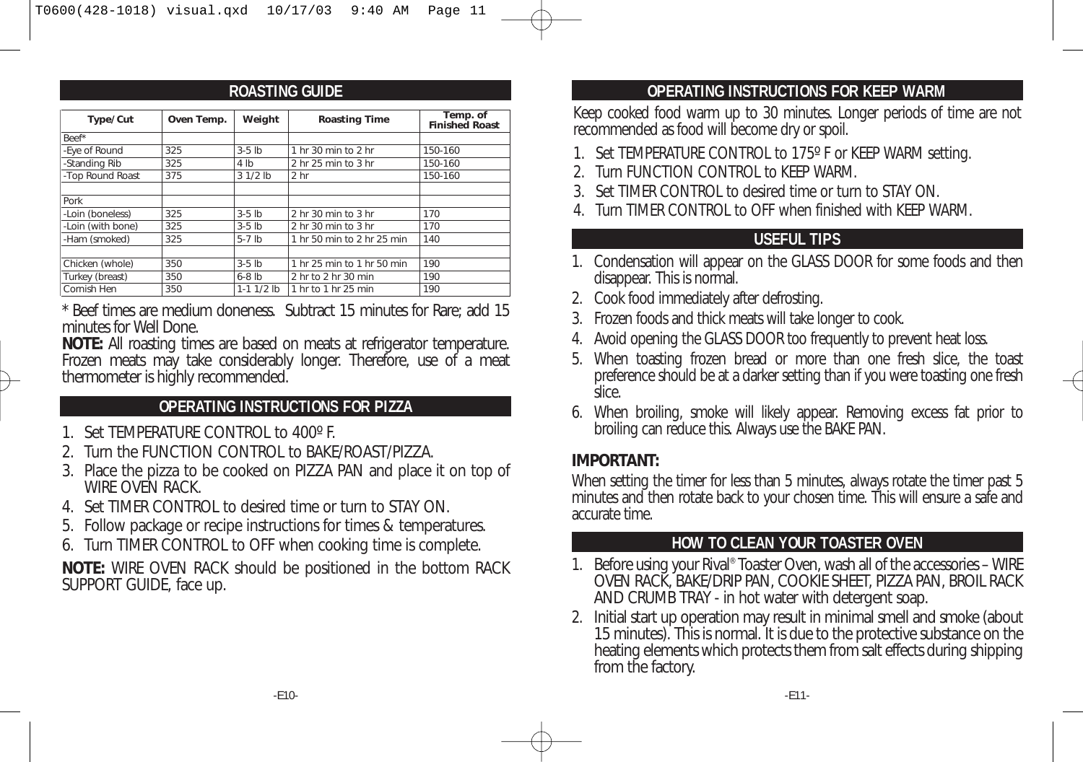#### **ROASTING GUIDE**

| Type/Cut          | Oven Temp. | Weight         | <b>Roasting Time</b>       | Temp. of<br><b>Finished Roast</b> |
|-------------------|------------|----------------|----------------------------|-----------------------------------|
| Beef*             |            |                |                            |                                   |
| -Eye of Round     | 325        | $3-5$ lb       | 1 hr 30 min to 2 hr        | 150-160                           |
| -Standing Rib     | 325        | 4 lb           | 2 hr 25 min to 3 hr        | 150-160                           |
| -Top Round Roast  | 375        | $31/2$ lb      | 2 <sub>hr</sub>            | 150-160                           |
|                   |            |                |                            |                                   |
| Pork              |            |                |                            |                                   |
| -Loin (boneless)  | 325        | $3-5$ lb       | 2 hr 30 min to 3 hr        | 170                               |
| -Loin (with bone) | 325        | $3-5$ lb       | 2 hr 30 min to 3 hr        | 170                               |
| -Ham (smoked)     | 325        | $5-7$ lb       | 1 hr 50 min to 2 hr 25 min | 140                               |
|                   |            |                |                            |                                   |
| Chicken (whole)   | 350        | $3-5$ lb       | 1 hr 25 min to 1 hr 50 min | 190                               |
| Turkey (breast)   | 350        | $6-8$ lb       | 2 hr to 2 hr 30 min        | 190                               |
| Cornish Hen       | 350        | $1-1$ $1/2$ lb | 1 hr to 1 hr 25 min        | 190                               |

\* Beef times are medium doneness. Subtract 15 minutes for Rare; add 15 minutes for Well Done.

**NOTE:** All roasting times are based on meats at refrigerator temperature. Frozen meats may take considerably longer. Therefore, use of a meat thermometer is highly recommended.

#### **OPERATING INSTRUCTIONS FOR PIZZA**

- 1. Set TEMPERATURE CONTROL to 400º F.
- 2. Turn the FUNCTION CONTROL to BAKE/ROAST/PIZZA.
- 3. Place the pizza to be cooked on PIZZA PAN and place it on top of WIRE OVEN RACK.
- 4. Set TIMER CONTROL to desired time or turn to STAY ON.
- 5. Follow package or recipe instructions for times & temperatures.
- 6. Turn TIMER CONTROL to OFF when cooking time is complete.

**NOTE:** WIRE OVEN RACK should be positioned in the bottom RACK SUPPORT GUIDE, face up.

### **OPERATING INSTRUCTIONS FOR KEEP WARM**

Keep cooked food warm up to 30 minutes. Longer periods of time are not recommended as food will become dry or spoil.

- 1. Set TEMPERATURE CONTROL to 175º F or KEEP WARM setting.
- 2. Turn FUNCTION CONTROL to KEEP WARM.
- 3. Set TIMER CONTROL to desired time or turn to STAY ON.
- 4. Turn TIMER CONTROL to OFF when finished with KEEP WARM.

### **USEFUL TIPS**

- 1. Condensation will appear on the GLASS DOOR for some foods and then disappear. This is normal.
- 2. Cook food immediately after defrosting.
- 3. Frozen foods and thick meats will take longer to cook.
- 4. Avoid opening the GLASS DOOR too frequently to prevent heat loss.
- 5. When toasting frozen bread or more than one fresh slice, the toast preference should be at a darker setting than if you were toasting one fresh slice.
- 6. When broiling, smoke will likely appear. Removing excess fat prior to broiling can reduce this. Always use the BAKE PAN.

### **IMPORTANT:**

When setting the timer for less than 5 minutes, always rotate the timer past 5 minutes and then rotate back to your chosen time. This will ensure a safe and accurate time.

### **HOW TO CLEAN YOUR TOASTER OVEN**

- 1. Before using your Rival® Toaster Oven, wash all of the accessories WIRE OVEN RACK, BAKE/DRIP PAN, COOKIE SHEET, PIZZA PAN, BROIL RACK AND CRUMB TRAY - in hot water with detergent soap.
- 2. Initial start up operation may result in minimal smell and smoke (about 15 minutes). This is normal. It is due to the protective substance on the heating elements which protects them from salt effects during shipping from the factory.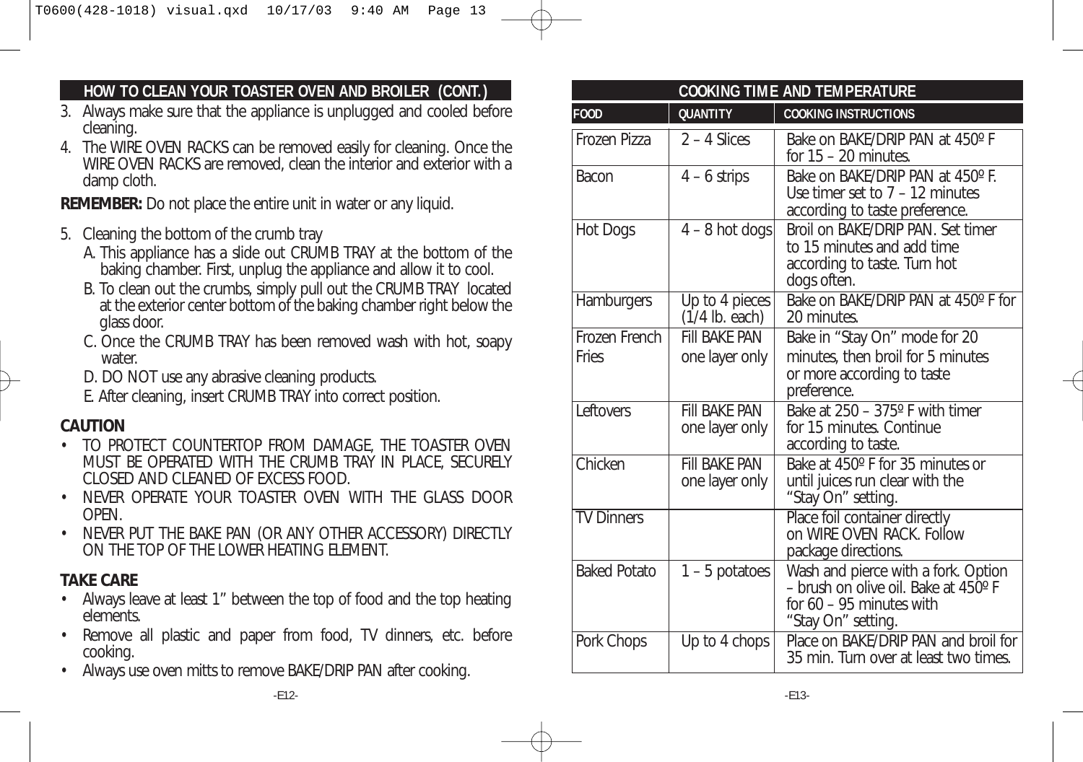#### **HOW TO CLEAN YOUR TOASTER OVEN AND BROILER (CONT.)**

- 3. Always make sure that the appliance is unplugged and cooled before cleaning.
- 4. The WIRE OVEN RACKS can be removed easily for cleaning. Once the WIRE OVEN RACKS are removed, clean the interior and exterior with a damp cloth.

**REMEMBER:** Do not place the entire unit in water or any liquid.

- 5. Cleaning the bottom of the crumb tray
	- A. This appliance has a slide out CRUMB TRAY at the bottom of the baking chamber. First, unplug the appliance and allow it to cool.
	- B. To clean out the crumbs, simply pull out the CRUMB TRAY located at the exterior center bottom of the baking chamber right below the glass door.
	- C. Once the CRUMB TRAY has been removed wash with hot, soapy water
	- D. DO NOT use any abrasive cleaning products.
	- E. After cleaning, insert CRUMB TRAY into correct position.

### **CAUTION**

- TO PROTECT COUNTERTOP FROM DAMAGE, THE TOASTER OVEN MUST BE OPERATED WITH THE CRUMB TRAY IN PLACE, SECURELY CLOSED AND CLEANED OF EXCESS FOOD.
- NEVER OPERATE YOUR TOASTER OVEN WITH THE GLASS DOOR **OPEN**
- NEVER PUT THE BAKE PAN (OR ANY OTHER ACCESSORY) DIRECTLY ON THE TOP OF THE LOWER HEATING ELEMENT.

# **TAKE CARE**

- Always leave at least 1" between the top of food and the top heating elements.
- Remove all plastic and paper from food, TV dinners, etc. before cooking.
- Always use oven mitts to remove BAKE/DRIP PAN after cooking.

| <b>COOKING TIME AND TEMPERATURE</b> |                                                 |                                                                                                                                |  |  |
|-------------------------------------|-------------------------------------------------|--------------------------------------------------------------------------------------------------------------------------------|--|--|
| <b>F00D</b>                         | <b>QUANTITY</b>                                 | <b>COOKING INSTRUCTIONS</b>                                                                                                    |  |  |
| Frozen Pizza                        | $2 - 4$ Slices                                  | Bake on BAKE/DRIP PAN at 450°F<br>for $15 - 20$ minutes.                                                                       |  |  |
| Bacon                               | $4 - 6$ strips                                  | Bake on BAKE/DRIP PAN at 450° F.<br>Use timer set to $7 - 12$ minutes<br>according to taste preference.                        |  |  |
| Hot Dogs                            | $4 - 8$ hot dogs                                | Broil on BAKE/DRIP PAN. Set timer<br>to 15 minutes and add time<br>according to taste. Turn hot<br>dogs often.                 |  |  |
| Hamburgers                          | $\overline{Up}$ to 4 pieces<br>$(1/4$ lb. each) | Bake on BAKE/DRIP PAN at 450° F for<br>20 minutes.                                                                             |  |  |
| Frozen French                       | <b>FIII BAKF PAN</b>                            | Bake in "Stay On" mode for 20                                                                                                  |  |  |
| <b>Fries</b>                        | one layer only                                  | minutes, then broil for 5 minutes<br>or more according to taste<br>preference.                                                 |  |  |
| Leftovers                           | <b>FIII BAKF PAN</b><br>one layer only          | Bake at 250 - 375° F with timer<br>for 15 minutes. Continue<br>according to taste.                                             |  |  |
| Chicken                             | <b>FIII BAKE PAN</b><br>one layer only          | Bake at 450° F for 35 minutes or<br>until juices run clear with the<br>"Stay On" setting.                                      |  |  |
| <b>TV Dinners</b>                   |                                                 | Place foil container directly<br>on WIRE OVEN RACK, Follow<br>package directions.                                              |  |  |
| <b>Baked Potato</b>                 | $1 - 5$ potatoes                                | Wash and pierce with a fork. Option<br>- brush on olive oil. Bake at 450°F<br>for $60 - 95$ minutes with<br>"Stay On" setting. |  |  |
| Pork Chops                          | Up to 4 chops                                   | Place on BAKE/DRIP PAN and broil for<br>35 min. Turn over at least two times.                                                  |  |  |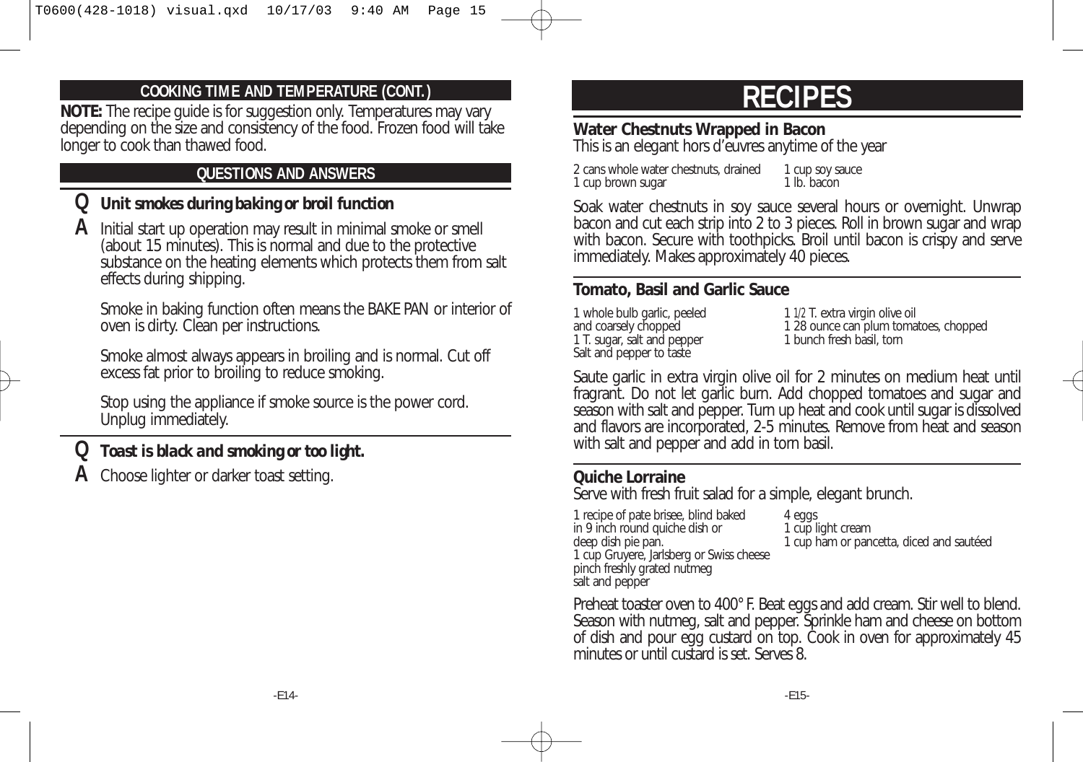#### **COOKING TIME AND TEMPERATURE (CONT.)**

**NOTE:** The recipe guide is for suggestion only. Temperatures may vary depending on the size and consistency of the food. Frozen food will take longer to cook than thawed food.

## **QUESTIONS AND ANSWERS**

## **Q** *Unit smokes during baking or broil function*

**A** Initial start up operation may result in minimal smoke or smell (about 15 minutes). This is normal and due to the protective substance on the heating elements which protects them from salt effects during shipping.

Smoke in baking function often means the BAKE PAN or interior of oven is dirty. Clean per instructions.

Smoke almost always appears in broiling and is normal. Cut off excess fat prior to broiling to reduce smoking.

Stop using the appliance if smoke source is the power cord. Unplug immediately.

# **Q** *Toast is black and smoking or too light.*

**A** Choose lighter or darker toast setting.

# **RECIPES**

## **Water Chestnuts Wrapped in Bacon**

This is an elegant hors d'euvres anytime of the year

2 cans whole water chestnuts, drained 1 cup soy sauce<br>1 cup brown sugar 1 lb. bacon 1 cup brown sugar

Soak water chestnuts in soy sauce several hours or overnight. Unwrap bacon and cut each strip into 2 to 3 pieces. Roll in brown sugar and wrap with bacon. Secure with toothpicks. Broil until bacon is crispy and serve immediately. Makes approximately 40 pieces.

#### **Tomato, Basil and Garlic Sauce**

1 whole bulb garlic, peeled 1 1/2 T. extra virgin olive oil<br>and coarsely chopped 1 28 ounce can plum toma 1 T. sugar, salt and pepper Salt and pepper to taste

1 28 ounce can plum tomatoes, chopped<br>1 bunch fresh basil, torn

Saute garlic in extra virgin olive oil for 2 minutes on medium heat until fragrant. Do not let garlic burn. Add chopped tomatoes and sugar and season with salt and pepper. Turn up heat and cook until sugar is dissolved and flavors are incorporated, 2-5 minutes. Remove from heat and season with salt and pepper and add in torn basil.

#### **Quiche Lorraine**

Serve with fresh fruit salad for a simple, elegant brunch.

1 recipe of pate brisee, blind baked 4 eggs<br>
in 9 inch round quiche dish or 4 cup light cream in 9 inch round quiche dish or<br>deep dish pie pan. 1 cup Gruyere, Jarlsberg or Swiss cheese pinch freshly grated nutmeg salt and pepper

1 cup ham or pancetta, diced and sautéed

Preheat toaster oven to 400° F. Beat eggs and add cream. Stir well to blend. Season with nutmeg, salt and pepper. Sprinkle ham and cheese on bottom of dish and pour egg custard on top. Cook in oven for approximately 45 minutes or until custard is set. Serves 8.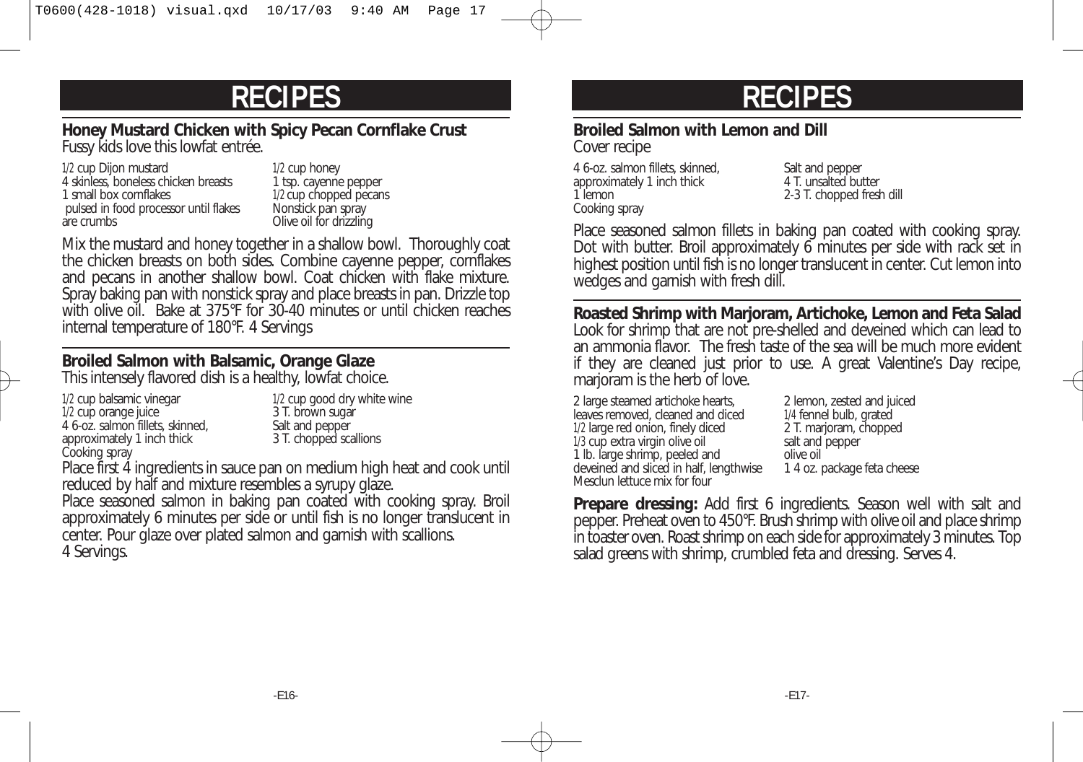#### **Honey Mustard Chicken with Spicy Pecan Cornflake Crust** Fussy kids love this lowfat entrée.

1/2 cup Dijon mustard 1/2 cup honey<br>
4 skinless, boneless chicken breasts 1 tsp. cayenne pepper 4 skinless, boneless chicken breasts<br>1 small box cornflakes pulsed in food processor until flakes<br>are crumbs

1/2 cup chopped pecans<br>Nonstick pan spray Olive oil for drizzling

Mix the mustard and honey together in a shallow bowl. Thoroughly coat the chicken breasts on both sides. Combine cayenne pepper, cornflakes and pecans in another shallow bowl. Coat chicken with flake mixture. Spray baking pan with nonstick spray and place breasts in pan. Drizzle top with olive oil. Bake at 375°F for 30-40 minutes or until chicken reaches internal temperature of 180°F. 4 Servings

### **Broiled Salmon with Balsamic, Orange Glaze**

This intensely flavored dish is a healthy, lowfat choice.

- 1/2 cup balsamic vinegar 1/2 cup good dry white wine 1/2 cup orange juice 3 T. brown sugar<br>1 6-oz. salmon fillets, skinned, 3 T. brown sugar 4 6-oz. salmon fillets, skinned,<br>
approximately 1 inch thick 3 T. chopped scallions approximately 1 inch thick Cooking spray
- 

Place first 4 ingredients in sauce pan on medium high heat and cook until reduced by half and mixture resembles a syrupy glaze.

Place seasoned salmon in baking pan coated with cooking spray. Broil approximately 6 minutes per side or until fish is no longer translucent in center. Pour glaze over plated salmon and garnish with scallions. 4 Servings.

# **RECIPES RECIPES**

### **Broiled Salmon with Lemon and Dill**

Cover recipe

4 6-oz. salmon fillets, skinned, Salt and pepper<br>approximately 1 inch thick 4 T. unsalted butter approximately 1 inch thick<br>1 lemon Cooking spray

2-3 T. chopped fresh dill

Place seasoned salmon fillets in baking pan coated with cooking spray. Dot with butter. Broil approximately 6 minutes per side with rack set in highest position until fish is no longer translucent in center. Cut lemon into wedges and garnish with fresh dill.

**Roasted Shrimp with Marjoram, Artichoke, Lemon and Feta Salad** Look for shrimp that are not pre-shelled and deveined which can lead to an ammonia flavor. The fresh taste of the sea will be much more evident if they are cleaned just prior to use. A great Valentine's Day recipe, marioram is the herb of love.

2 large steamed artichoke hearts, 2 lemon, zested and juiced leaves removed, cleaned and diced 1/4 fennel bulb, grated leaves removed, cleaned and diced 1/4 fennel bulb, grated<br>1/2 large red onion, finely diced 2 T. marjoram, chopped 1/2 large red onion, finely diced  $1/3$  cup extra virgin olive oil<br>1/3 cup extra virgin olive oil salt and pepper  $1/3$  cup extra virgin olive oil salt and salt and pepper salt and pepper salt and pepper salt and pepper salt and pepper salt and pepper salt and pepper salt and pepper salt and pepper salt and pepper salt and pepper sal 1 lb. large shrimp, peeled and olive oil<br>deveined and sliced in half, lengthwise 14 oz. package feta cheese deveined and sliced in half, lengthwise Mesclun lettuce mix for four

**Prepare dressing:** Add first 6 ingredients. Season well with salt and pepper. Preheat oven to 450°F. Brush shrimp with olive oil and place shrimp in toaster oven. Roast shrimp on each side for approximately 3 minutes. Top salad greens with shrimp, crumbled feta and dressing. Serves 4.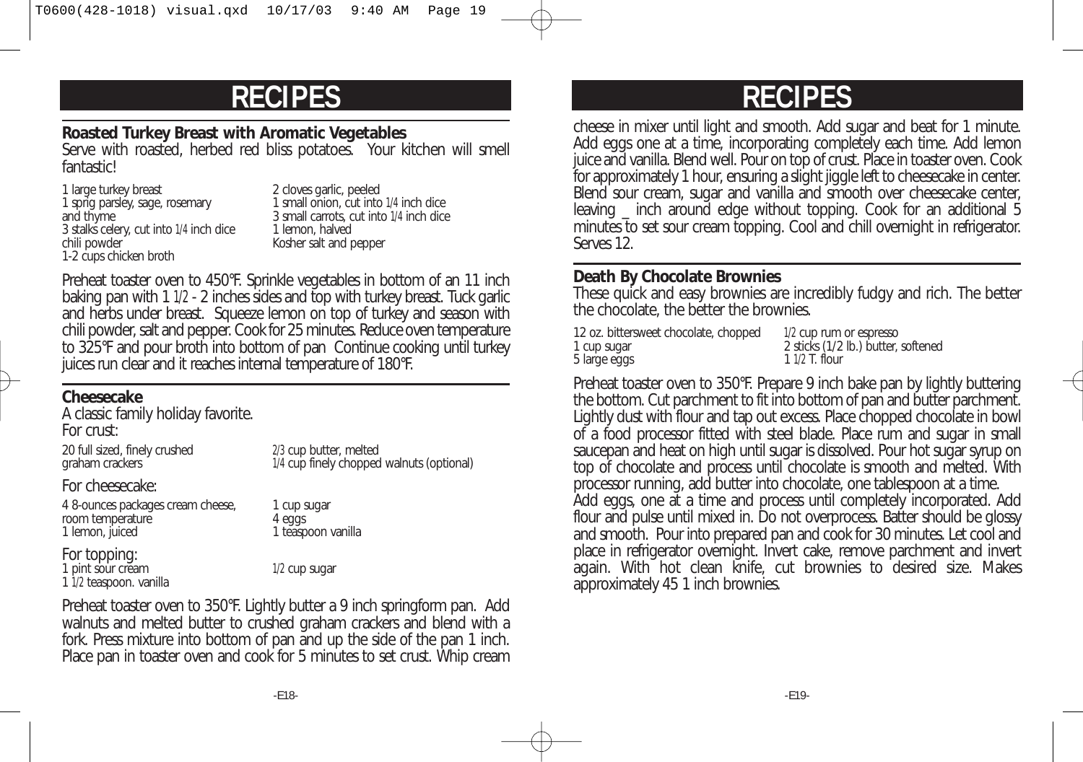# **RECIPES RECIPES**

#### **Roasted Turkey Breast with Aromatic Vegetables**

Serve with roasted, herbed red bliss potatoes. Your kitchen will smell **fantasticl** 

1 sprig parsley, sage, rosemary<br>and thyme 3 stalks celery, cut into 1/4 inch dice<br>chili powder 1-2 cups chicken broth

1 large turkey breast 2 cloves garlic, peeled<br>1 sprig parsley, sage, rosemary 1 small onion, cut into 1/4 inch dice 3 small carrots, cut into 1/4 inch dice<br>1 lemon. halved Kosher salt and pepper

Preheat toaster oven to 450°F. Sprinkle vegetables in bottom of an 11 inch baking pan with 1 1/2 - 2 inches sides and top with turkey breast. Tuck garlic and herbs under breast. Squeeze lemon on top of turkey and season with chili powder, salt and pepper. Cook for 25 minutes. Reduce oven temperature to 325°F and pour broth into bottom of pan Continue cooking until turkey juices run clear and it reaches internal temperature of 180°F.

#### **Cheesecake**

A classic family holiday favorite. For crust:

20 full sized, finely crushed<br>
2/3 cup butter, melted<br>
1/4 cup finely chopped<br>
2/3 cup butter, melted

1/4 cup finely chopped walnuts (optional)

For cheesecake:

4 8-ounces packages cream cheese, 1 cup sugar room temperature and the same of 4 eggs<br>
1 lemon, juiced and the 4 eggs<br>
1 teasp

1 teaspoon vanilla

For topping: 1 pint sour cream 1/2 cup sugar 1 1/2 teaspoon. vanilla

Preheat toaster oven to 350°F. Lightly butter a 9 inch springform pan. Add walnuts and melted butter to crushed graham crackers and blend with a fork. Press mixture into bottom of pan and up the side of the pan 1 inch. Place pan in toaster oven and cook for 5 minutes to set crust. Whip cream

cheese in mixer until light and smooth. Add sugar and beat for 1 minute. Add eggs one at a time, incorporating completely each time. Add lemon juice and vanilla. Blend well. Pour on top of crust. Place in toaster oven. Cook for approximately 1 hour, ensuring a slight jiggle left to cheesecake in center. Blend sour cream, sugar and vanilla and smooth over cheesecake center, leaving \_ inch around edge without topping. Cook for an additional 5 minutes to set sour cream topping. Cool and chill overnight in refrigerator. Serves 12.

#### **Death By Chocolate Brownies**

These quick and easy brownies are incredibly fudgy and rich. The better the chocolate, the better the brownies.

| 12 oz. bittersweet chocolate, chopped | 1/2 cup rum or espresso             |
|---------------------------------------|-------------------------------------|
| 1 cup sugar                           | 2 sticks (1/2 lb.) butter, softened |
| 5 large eggs                          | $11/2$ T. flour                     |

Preheat toaster oven to 350°F. Prepare 9 inch bake pan by lightly buttering the bottom. Cut parchment to fit into bottom of pan and butter parchment. Lightly dust with flour and tap out excess. Place chopped chocolate in bowl of a food processor fitted with steel blade. Place rum and sugar in small saucepan and heat on high until sugar is dissolved. Pour hot sugar syrup on top of chocolate and process until chocolate is smooth and melted. With processor running, add butter into chocolate, one tablespoon at a time. Add eggs, one at a time and process until completely incorporated. Add flour and pulse until mixed in. Do not overprocess. Batter should be glossy and smooth. Pour into prepared pan and cook for 30 minutes. Let cool and place in refrigerator overnight. Invert cake, remove parchment and invert again. With hot clean knife, cut brownies to desired size. Makes approximately 45 1 inch brownies.